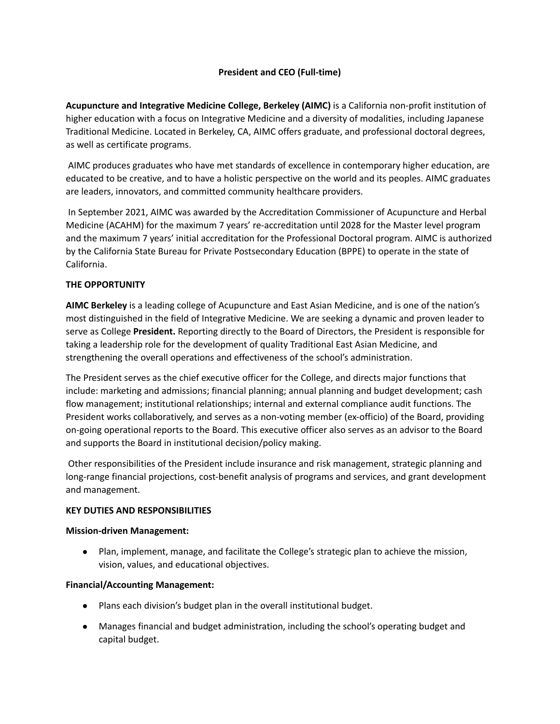# **President and CEO (Full-time)**

**Acupuncture and Integrative Medicine College, Berkeley (AIMC)** is a California non-profit institution of higher education with a focus on Integrative Medicine and a diversity of modalities, including Japanese Traditional Medicine. Located in Berkeley, CA, AIMC offers graduate, and professional doctoral degrees, as well as certificate programs.

AIMC produces graduates who have met standards of excellence in contemporary higher education, are educated to be creative, and to have a holistic perspective on the world and its peoples. AIMC graduates are leaders, innovators, and committed community healthcare providers.

In September 2021, AIMC was awarded by the Accreditation Commissioner of Acupuncture and Herbal Medicine (ACAHM) for the maximum 7 years' re-accreditation until 2028 for the Master level program and the maximum 7 years' initial accreditation for the Professional Doctoral program. AIMC is authorized by the California State Bureau for Private Postsecondary Education (BPPE) to operate in the state of California.

## **THE OPPORTUNITY**

**AIMC Berkeley** is a leading college of Acupuncture and East Asian Medicine, and is one of the nation's most distinguished in the field of Integrative Medicine. We are seeking a dynamic and proven leader to serve as College **President.** Reporting directly to the Board of Directors, the President is responsible for taking a leadership role for the development of quality Traditional East Asian Medicine, and strengthening the overall operations and effectiveness of the school's administration.

The President serves as the chief executive officer for the College, and directs major functions that include: marketing and admissions; financial planning; annual planning and budget development; cash flow management; institutional relationships; internal and external compliance audit functions. The President works collaboratively, and serves as a non-voting member (ex-officio) of the Board, providing on-going operational reports to the Board. This executive officer also serves as an advisor to the Board and supports the Board in institutional decision/policy making.

Other responsibilities of the President include insurance and risk management, strategic planning and long-range financial projections, cost-benefit analysis of programs and services, and grant development and management.

## **KEY DUTIES AND RESPONSIBILITIES**

## **Mission-driven Management:**

● Plan, implement, manage, and facilitate the College's strategic plan to achieve the mission, vision, values, and educational objectives.

## **Financial/Accounting Management:**

- Plans each division's budget plan in the overall institutional budget.
- Manages financial and budget administration, including the school's operating budget and capital budget.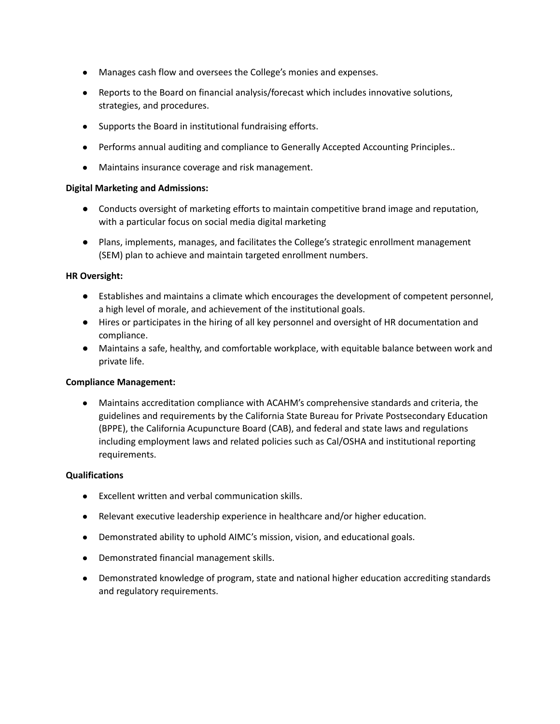- Manages cash flow and oversees the College's monies and expenses.
- Reports to the Board on financial analysis/forecast which includes innovative solutions, strategies, and procedures.
- Supports the Board in institutional fundraising efforts.
- Performs annual auditing and compliance to Generally Accepted Accounting Principles..
- Maintains insurance coverage and risk management.

## **Digital Marketing and Admissions:**

- Conducts oversight of marketing efforts to maintain competitive brand image and reputation, with a particular focus on social media digital marketing
- Plans, implements, manages, and facilitates the College's strategic enrollment management (SEM) plan to achieve and maintain targeted enrollment numbers.

## **HR Oversight:**

- Establishes and maintains a climate which encourages the development of competent personnel, a high level of morale, and achievement of the institutional goals.
- Hires or participates in the hiring of all key personnel and oversight of HR documentation and compliance.
- Maintains a safe, healthy, and comfortable workplace, with equitable balance between work and private life.

## **Compliance Management:**

Maintains accreditation compliance with ACAHM's comprehensive standards and criteria, the guidelines and requirements by the California State Bureau for Private Postsecondary Education (BPPE), the California Acupuncture Board (CAB), and federal and state laws and regulations including employment laws and related policies such as Cal/OSHA and institutional reporting requirements.

#### **Qualifications**

- Excellent written and verbal communication skills.
- Relevant executive leadership experience in healthcare and/or higher education.
- Demonstrated ability to uphold AIMC's mission, vision, and educational goals.
- Demonstrated financial management skills.
- Demonstrated knowledge of program, state and national higher education accrediting standards and regulatory requirements.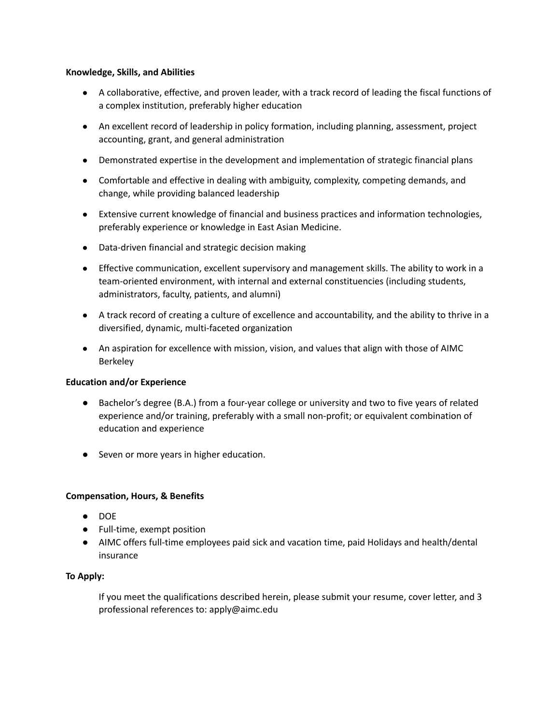#### **Knowledge, Skills, and Abilities**

- A collaborative, effective, and proven leader, with a track record of leading the fiscal functions of a complex institution, preferably higher education
- An excellent record of leadership in policy formation, including planning, assessment, project accounting, grant, and general administration
- Demonstrated expertise in the development and implementation of strategic financial plans
- Comfortable and effective in dealing with ambiguity, complexity, competing demands, and change, while providing balanced leadership
- Extensive current knowledge of financial and business practices and information technologies, preferably experience or knowledge in East Asian Medicine.
- Data-driven financial and strategic decision making
- Effective communication, excellent supervisory and management skills. The ability to work in a team-oriented environment, with internal and external constituencies (including students, administrators, faculty, patients, and alumni)
- A track record of creating a culture of excellence and accountability, and the ability to thrive in a diversified, dynamic, multi-faceted organization
- An aspiration for excellence with mission, vision, and values that align with those of AIMC Berkeley

## **Education and/or Experience**

- Bachelor's degree (B.A.) from a four-year college or university and two to five years of related experience and/or training, preferably with a small non-profit; or equivalent combination of education and experience
- Seven or more years in higher education.

## **Compensation, Hours, & Benefits**

- DOE
- Full-time, exempt position
- AIMC offers full-time employees paid sick and vacation time, paid Holidays and health/dental insurance

## **To Apply:**

If you meet the qualifications described herein, please submit your resume, cover letter, and 3 professional references to: apply@aimc.edu